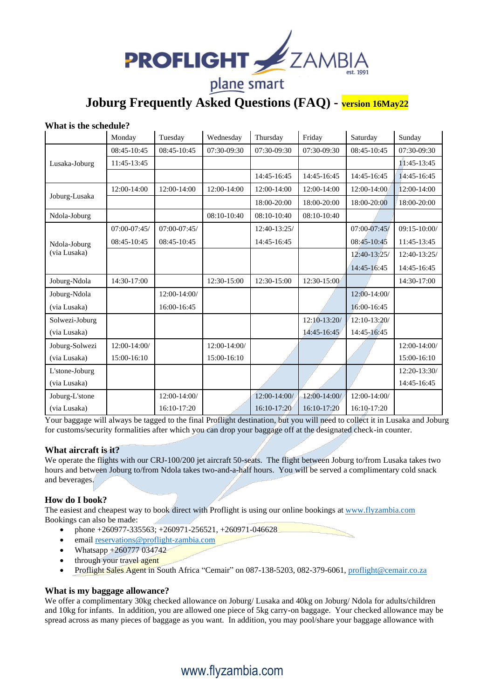

**Joburg Frequently Asked Questions (FAQ) - version 16May22**

#### **What is the schedule?**

|                              | Monday           | Tuesday          | Wednesday     | Thursday      | Friday         | Saturday     | Sunday           |
|------------------------------|------------------|------------------|---------------|---------------|----------------|--------------|------------------|
| Lusaka-Joburg                | 08:45-10:45      | 08:45-10:45      | 07:30-09:30   | 07:30-09:30   | 07:30-09:30    | 08:45-10:45  | 07:30-09:30      |
|                              | 11:45-13:45      |                  |               |               |                |              | 11:45-13:45      |
|                              |                  |                  |               | 14:45-16:45   | 14:45-16:45    | 14:45-16:45  | 14:45-16:45      |
| Joburg-Lusaka                | 12:00-14:00      | 12:00-14:00      | 12:00-14:00   | 12:00-14:00   | 12:00-14:00    | 12:00-14:00  | 12:00-14:00      |
|                              |                  |                  |               | 18:00-20:00   | 18:00-20:00    | 18:00-20:00  | 18:00-20:00      |
| Ndola-Joburg                 |                  |                  | $08:10-10:40$ | $08:10-10:40$ | 08:10-10:40    |              |                  |
| Ndola-Joburg<br>(via Lusaka) | $07:00 - 07:45/$ | $07:00 - 07:45/$ |               | 12:40-13:25/  |                | 07:00-07:45/ | $09:15 - 10:00/$ |
|                              | 08:45-10:45      | 08:45-10:45      |               | 14:45-16:45   |                | 08:45-10:45  | 11:45-13:45      |
|                              |                  |                  |               |               |                | 12:40-13:25/ | 12:40-13:25/     |
|                              |                  |                  |               |               |                | 14:45-16:45  | 14:45-16:45      |
| Joburg-Ndola                 | 14:30-17:00      |                  | 12:30-15:00   | 12:30-15:00   | 12:30-15:00    |              | 14:30-17:00      |
| Joburg-Ndola                 |                  | 12:00-14:00/     |               |               |                | 12:00-14:00/ |                  |
| (via Lusaka)                 |                  | 16:00-16:45      |               |               |                | 16:00-16:45  |                  |
| Solwezi-Joburg               |                  |                  |               |               | $12:10-13:20/$ | 12:10-13:20/ |                  |
| (via Lusaka)                 |                  |                  |               |               | 14:45-16:45    | 14:45-16:45  |                  |
| Joburg-Solwezi               | 12:00-14:00/     |                  | 12:00-14:00/  |               |                |              | 12:00-14:00/     |
| (via Lusaka)                 | 15:00-16:10      |                  | 15:00-16:10   |               |                |              | 15:00-16:10      |
| L'stone-Joburg               |                  |                  |               |               |                |              | 12:20-13:30/     |
| (via Lusaka)                 |                  |                  |               |               |                |              | 14:45-16:45      |
| Joburg-L'stone               |                  | 12:00-14:00/     |               | 12:00-14:00/  | 12:00-14:00/   | 12:00-14:00/ |                  |
| (via Lusaka)                 |                  | 16:10-17:20      |               | 16:10-17:20   | 16:10-17:20    | 16:10-17:20  |                  |

Your baggage will always be tagged to the final Proflight destination, but you will need to collect it in Lusaka and Joburg for customs/security formalities after which you can drop your baggage off at the designated check-in counter.

#### **What aircraft is it?**

We operate the flights with our CRJ-100/200 jet aircraft 50-seats. The flight between Joburg to/from Lusaka takes two hours and between Joburg to/from Ndola takes two-and-a-half hours. You will be served a complimentary cold snack and beverages.

#### **How do I book?**

The easiest and cheapest way to book direct with Proflight is using our online bookings at [www.flyzambia.com](http://www.flyzambia.com/) Bookings can also be made:

- phone  $+260977-335563$ ;  $+260971-256521$ ,  $+260971-046628$
- email <u>reservations@proflight-zambia.com</u>
- Whatsapp  $+260777034742$
- through your travel agent
- Proflight Sales Agent in South Africa "Cemair" on 087-138-5203, 082-379-6061[, proflight@cemair.co.za](mailto:proflight@cemair.co.za)

#### **What is my baggage allowance?**

We offer a complimentary 30kg checked allowance on Joburg/ Lusaka and 40kg on Joburg/ Ndola for adults/children and 10kg for infants. In addition, you are allowed one piece of 5kg carry-on baggage. Your checked allowance may be spread across as many pieces of baggage as you want. In addition, you may pool/share your baggage allowance with

# www.flyzambia.com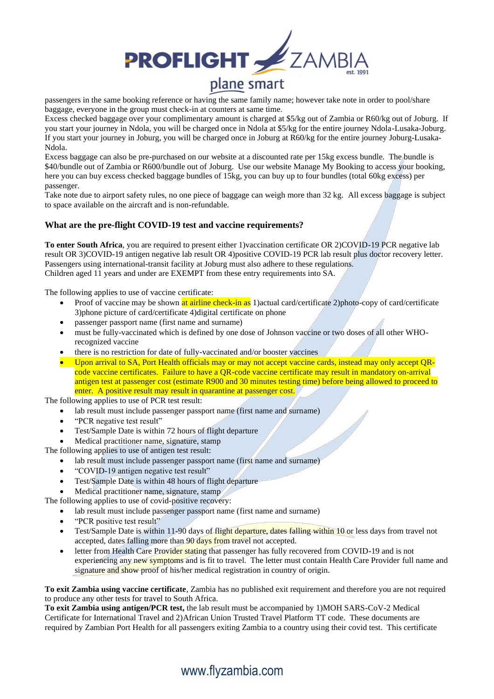

passengers in the same booking reference or having the same family name; however take note in order to pool/share baggage, everyone in the group must check-in at counters at same time.

Excess checked baggage over your complimentary amount is charged at \$5/kg out of Zambia or R60/kg out of Joburg. If you start your journey in Ndola, you will be charged once in Ndola at \$5/kg for the entire journey Ndola-Lusaka-Joburg. If you start your journey in Joburg, you will be charged once in Joburg at R60/kg for the entire journey Joburg-Lusaka-Ndola.

Excess baggage can also be pre-purchased on our website at a discounted rate per 15kg excess bundle. The bundle is \$40/bundle out of Zambia or R600/bundle out of Joburg. Use our website Manage My Booking to access your booking, here you can buy excess checked baggage bundles of 15kg, you can buy up to four bundles (total 60kg excess) per passenger.

Take note due to airport safety rules, no one piece of baggage can weigh more than 32 kg. All excess baggage is subject to space available on the aircraft and is non-refundable.

#### **What are the pre-flight COVID-19 test and vaccine requirements?**

**To enter South Africa**, you are required to present either 1)vaccination certificate OR 2)COVID-19 PCR negative lab result OR 3)COVID-19 antigen negative lab result OR 4)positive COVID-19 PCR lab result plus doctor recovery letter. Passengers using international-transit facility at Joburg must also adhere to these regulations. Children aged 11 years and under are EXEMPT from these entry requirements into SA.

The following applies to use of vaccine certificate:

- Proof of vaccine may be shown at airline check-in as 1)actual card/certificate 2)photo-copy of card/certificate 3)phone picture of card/certificate 4)digital certificate on phone
- passenger passport name (first name and surname)
- must be fully-vaccinated which is defined by one dose of Johnson vaccine or two doses of all other WHOrecognized vaccine
- there is no restriction for date of fully-vaccinated and/or booster vaccines
- Upon arrival to SA, Port Health officials may or may not accept vaccine cards, instead may only accept QRcode vaccine certificates. Failure to have a QR-code vaccine certificate may result in mandatory on-arrival antigen test at passenger cost (estimate R900 and 30 minutes testing time) before being allowed to proceed to enter. A positive result may result in quarantine at passenger cost.

The following applies to use of PCR test result:

- lab result must include passenger passport name (first name and surname)
- "PCR negative test result"
- Test/Sample Date is within 72 hours of flight departure
- Medical practitioner name, signature, stamp

The following applies to use of antigen test result:

- lab result must include passenger passport name (first name and surname)
	- "COVID-19 antigen negative test result"
	- Test/Sample Date is within 48 hours of flight departure
	- Medical practitioner name, signature, stamp

The following applies to use of covid-positive recovery:

- lab result must include passenger passport name (first name and surname)
- "PCR positive test result"
- Test/Sample Date is within 11-90 days of flight departure, dates falling within 10 or less days from travel not accepted, dates falling more than 90 days from travel not accepted.
- letter from Health Care Provider stating that passenger has fully recovered from COVID-19 and is not experiencing any new symptoms and is fit to travel. The letter must contain Health Care Provider full name and signature and show proof of his/her medical registration in country of origin.

**To exit Zambia using vaccine certificate**, Zambia has no published exit requirement and therefore you are not required to produce any other tests for travel to South Africa.

**To exit Zambia using antigen/PCR test,** the lab result must be accompanied by 1)MOH SARS-CoV-2 Medical Certificate for International Travel and 2)African Union Trusted Travel Platform TT code. These documents are required by Zambian Port Health for all passengers exiting Zambia to a country using their covid test. This certificate

# www.flyzambia.com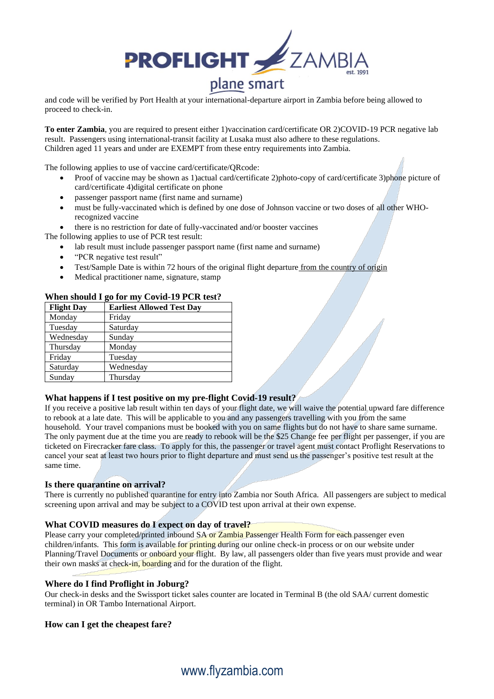

and code will be verified by Port Health at your international-departure airport in Zambia before being allowed to proceed to check-in.

To enter Zambia, you are required to present either 1)vaccination card/certificate OR 2)COVID-19 PCR negative lab result. Passengers using international-transit facility at Lusaka must also adhere to these regulations. Children aged 11 years and under are EXEMPT from these entry requirements into Zambia.

The following applies to use of vaccine card/certificate/QRcode:

- Proof of vaccine may be shown as 1)actual card/certificate 2)photo-copy of card/certificate 3)phone picture of card/certificate 4)digital certificate on phone
- passenger passport name (first name and surname)
- must be fully-vaccinated which is defined by one dose of Johnson vaccine or two doses of all other WHOrecognized vaccine
- there is no restriction for date of fully-vaccinated and/or booster vaccines

The following applies to use of PCR test result:

- lab result must include passenger passport name (first name and surname)
- "PCR negative test result"
- Test/Sample Date is within 72 hours of the original flight departure from the country of origin
- Medical practitioner name, signature, stamp

#### **When should I go for my Covid-19 PCR test?**

| <b>Flight Day</b> | <b>Earliest Allowed Test Day</b> |
|-------------------|----------------------------------|
| Monday            | Friday                           |
| Tuesday           | Saturday                         |
| Wednesday         | Sunday                           |
| Thursday          | Monday                           |
| Friday            | Tuesday                          |
| Saturday          | Wednesday                        |
| Sunday            | Thursday                         |

#### **What happens if I test positive on my pre-flight Covid-19 result?**

If you receive a positive lab result within ten days of your flight date, we will waive the potential upward fare difference to rebook at a late date. This will be applicable to you and any passengers travelling with you from the same household. Your travel companions must be booked with you on same flights but do not have to share same surname. The only payment due at the time you are ready to rebook will be the \$25 Change fee per flight per passenger, if you are ticketed on Firecracker fare class. To apply for this, the passenger or travel agent must contact Proflight Reservations to cancel your seat at least two hours prior to flight departure and must send us the passenger's positive test result at the same time.

#### **Is there quarantine on arrival?**

There is currently no published quarantine for entry into Zambia nor South Africa. All passengers are subject to medical screening upon arrival and may be subject to a COVID test upon arrival at their own expense.

#### **What COVID measures do I expect on day of travel?**

Please carry your completed/printed inbound SA or Zambia Passenger Health Form for each passenger even children/infants. This form is available for printing during our online check-in process or on our website under Planning/Travel Documents or onboard your flight. By law, all passengers older than five years must provide and wear their own masks at check-in, boarding and for the duration of the flight.

#### **Where do I find Proflight in Joburg?**

Our check-in desks and the Swissport ticket sales counter are located in Terminal B (the old SAA/ current domestic terminal) in OR Tambo International Airport.

#### **How can I get the cheapest fare?**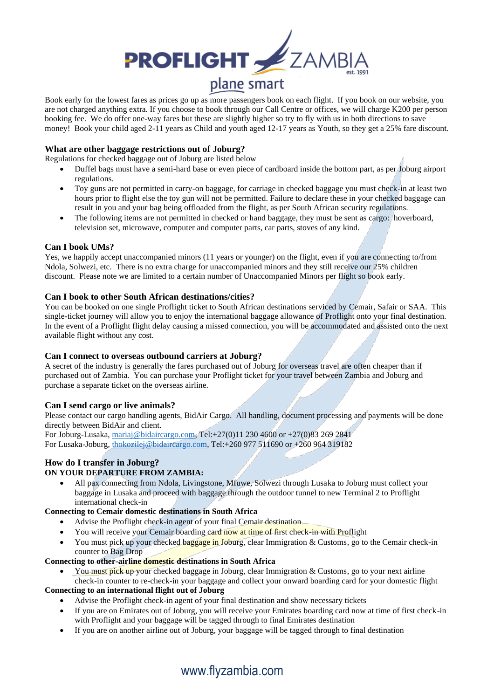

Book early for the lowest fares as prices go up as more passengers book on each flight. If you book on our website, you are not charged anything extra. If you choose to book through our Call Centre or offices, we will charge K200 per person booking fee. We do offer one-way fares but these are slightly higher so try to fly with us in both directions to save money! Book your child aged 2-11 years as Child and youth aged 12-17 years as Youth, so they get a 25% fare discount.

#### **What are other baggage restrictions out of Joburg?**

Regulations for checked baggage out of Joburg are listed below

- Duffel bags must have a semi-hard base or even piece of cardboard inside the bottom part, as per Joburg airport regulations.
- Toy guns are not permitted in carry-on baggage, for carriage in checked baggage you must check-in at least two hours prior to flight else the toy gun will not be permitted. Failure to declare these in your checked baggage can result in you and your bag being offloaded from the flight, as per South African security regulations.
- The following items are not permitted in checked or hand baggage, they must be sent as cargo: hoverboard, television set, microwave, computer and computer parts, car parts, stoves of any kind.

#### **Can I book UMs?**

Yes, we happily accept unaccompanied minors (11 years or younger) on the flight, even if you are connecting to/from Ndola, Solwezi, etc. There is no extra charge for unaccompanied minors and they still receive our 25% children discount. Please note we are limited to a certain number of Unaccompanied Minors per flight so book early.

#### **Can I book to other South African destinations/cities?**

You can be booked on one single Proflight ticket to South African destinations serviced by Cemair, Safair or SAA. This single-ticket journey will allow you to enjoy the international baggage allowance of Proflight onto your final destination. In the event of a Proflight flight delay causing a missed connection, you will be accommodated and assisted onto the next available flight without any cost.

#### **Can I connect to overseas outbound carriers at Joburg?**

A secret of the industry is generally the fares purchased out of Joburg for overseas travel are often cheaper than if purchased out of Zambia. You can purchase your Proflight ticket for your travel between Zambia and Joburg and purchase a separate ticket on the overseas airline.

#### **Can I send cargo or live animals?**

Please contact our cargo handling agents, BidAir Cargo. All handling, document processing and payments will be done directly between BidAir and client.

For Joburg-Lusaka, [mariaj@bidaircargo.com,](mailto:mariaj@bidaircargo.com) Tel:+27(0)11 230 4600 or +27(0)83 269 2841 For Lusaka-Joburg, [thokozilej@bidaircargo.com,](http://lenishian@bidaircargo.com) Tel:+260 977 511690 or +260 964 319182

#### **How do I transfer in Joburg?**

#### **ON YOUR DEPARTURE FROM ZAMBIA:**

• All pax connecting from Ndola, Livingstone, Mfuwe, Solwezi through Lusaka to Joburg must collect your baggage in Lusaka and proceed with baggage through the outdoor tunnel to new Terminal 2 to Proflight international check-in

#### **Connecting to Cemair domestic destinations in South Africa**

- Advise the Proflight check-in agent of your final Cemair destination
- You will receive your Cemair boarding card now at time of first check-in with Proflight
- You must pick up your checked baggage in Joburg, clear Immigration & Customs, go to the Cemair check-in counter to Bag Drop

#### **Connecting to other-airline domestic destinations in South Africa**

• You must pick up your checked baggage in Joburg, clear Immigration & Customs, go to your next airline check-in counter to re-check-in your baggage and collect your onward boarding card for your domestic flight

#### **Connecting to an international flight out of Joburg**

- Advise the Proflight check-in agent of your final destination and show necessary tickets
- If you are on Emirates out of Joburg, you will receive your Emirates boarding card now at time of first check-in with Proflight and your baggage will be tagged through to final Emirates destination
- If you are on another airline out of Joburg, your baggage will be tagged through to final destination

# www.flyzambia.com